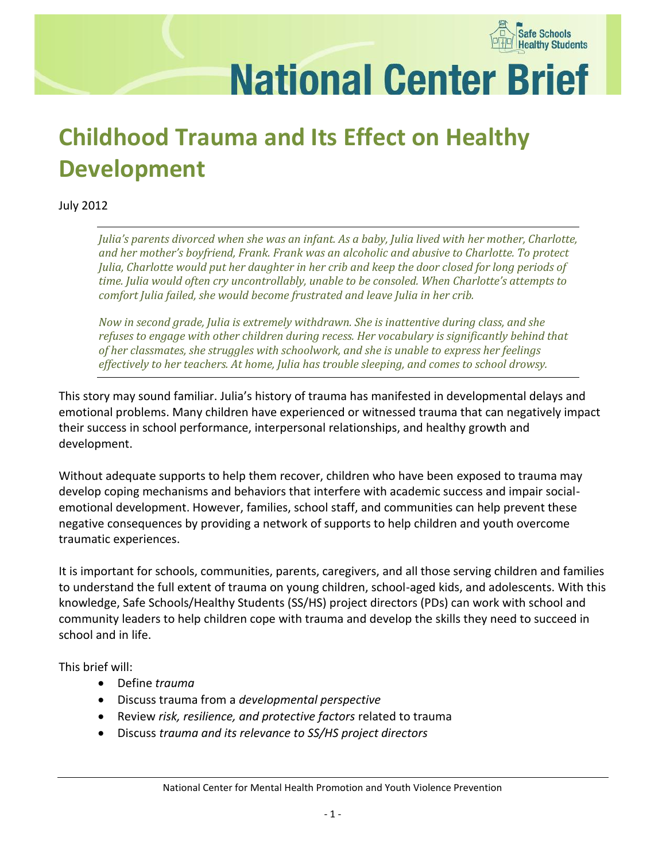

**National Center Brief** 

# **Childhood Trauma and Its Effect on Healthy Development**

July 2012

*Julia's parents divorced when she was an infant. As a baby, Julia lived with her mother, Charlotte, and her mother's boyfriend, Frank. Frank was an alcoholic and abusive to Charlotte. To protect Julia, Charlotte would put her daughter in her crib and keep the door closed for long periods of time. Julia would often cry uncontrollably, unable to be consoled. When Charlotte's attempts to comfort Julia failed, she would become frustrated and leave Julia in her crib.* 

*Now in second grade, Julia is extremely withdrawn. She is inattentive during class, and she refuses to engage with other children during recess. Her vocabulary is significantly behind that of her classmates, she struggles with schoolwork, and she is unable to express her feelings effectively to her teachers. At home, Julia has trouble sleeping, and comes to school drowsy.*

This story may sound familiar. Julia's history of trauma has manifested in developmental delays and emotional problems. Many children have experienced or witnessed trauma that can negatively impact their success in school performance, interpersonal relationships, and healthy growth and development.

Without adequate supports to help them recover, children who have been exposed to trauma may develop coping mechanisms and behaviors that interfere with academic success and impair socialemotional development. However, families, school staff, and communities can help prevent these negative consequences by providing a network of supports to help children and youth overcome traumatic experiences.

It is important for schools, communities, parents, caregivers, and all those serving children and families to understand the full extent of trauma on young children, school-aged kids, and adolescents. With this knowledge, Safe Schools/Healthy Students (SS/HS) project directors (PDs) can work with school and community leaders to help children cope with trauma and develop the skills they need to succeed in school and in life.

This brief will:

- Define *trauma*
- Discuss trauma from a *developmental perspective*
- Review *risk, resilience, and protective factors* related to trauma
- Discuss *trauma and its relevance to SS/HS project directors*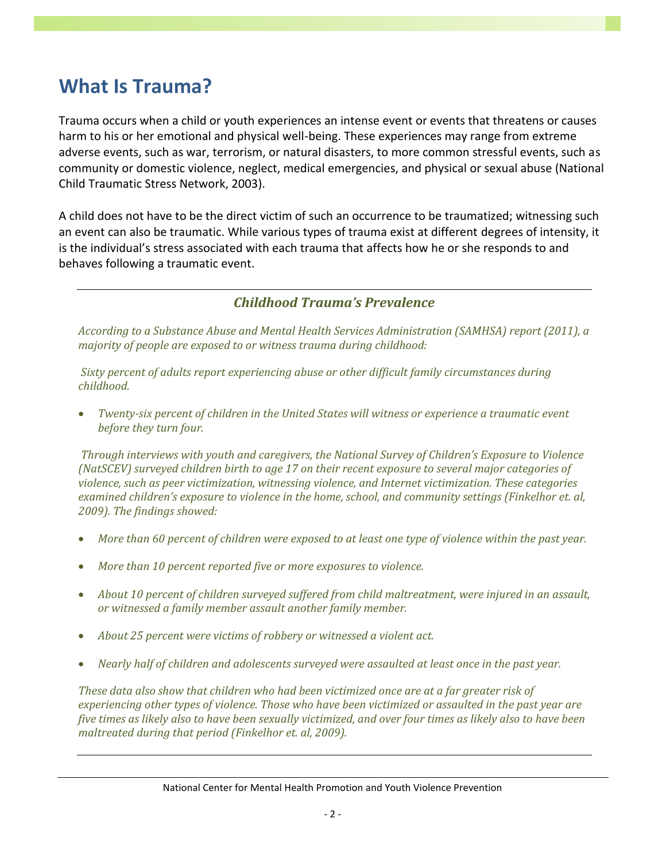### **What Is Trauma?**

Trauma occurs when a child or youth experiences an intense event or events that threatens or causes harm to his or her emotional and physical well-being. These experiences may range from extreme adverse events, such as war, terrorism, or natural disasters, to more common stressful events, such as community or domestic violence, neglect, medical emergencies, and physical or sexual abuse (National Child Traumatic Stress Network, 2003).

A child does not have to be the direct victim of such an occurrence to be traumatized; witnessing such an event can also be traumatic. While various types of trauma exist at different degrees of intensity, it is the individual's stress associated with each trauma that affects how he or she responds to and behaves following a traumatic event.

#### *Childhood Trauma's Prevalence*

*According to a Substance Abuse and Mental Health Services Administration (SAMHSA) report (2011), a majority of people are exposed to or witness trauma during childhood:*

*Sixty percent of adults report experiencing abuse or other difficult family circumstances during childhood.*

 *Twenty-six percent of children in the United States will witness or experience a traumatic event before they turn four.*

*Through interviews with youth and caregivers, the National Survey of Children's Exposure to Violence (NatSCEV) surveyed children birth to age 17 on their recent exposure to several major categories of violence, such as peer victimization, witnessing violence, and Internet victimization. These categories examined children's exposure to violence in the home, school, and community settings (Finkelhor et. al, 2009). The findings showed:* 

- *More than 60 percent of children were exposed to at least one type of violence within the past year.*
- *More than 10 percent reported five or more exposures to violence.*
- *About 10 percent of children surveyed suffered from child maltreatment, were injured in an assault, or witnessed a family member assault another family member.*
- *About 25 percent were victims of robbery or witnessed a violent act.*
- *Nearly half of children and adolescents surveyed were assaulted at least once in the past year.*

*These data also show that children who had been victimized once are at a far greater risk of experiencing other types of violence. Those who have been victimized or assaulted in the past year are five times as likely also to have been sexually victimized, and over four times as likely also to have been maltreated during that period (Finkelhor et. al, 2009).*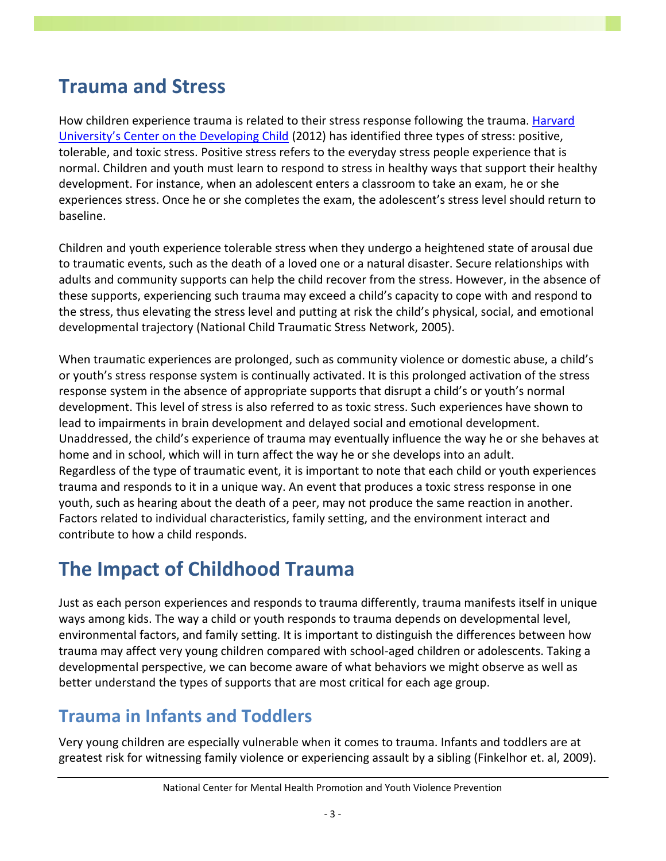### **Trauma and Stress**

How children experience trauma is related to their stress response following the trauma. [Harvard](http://developingchild.harvard.edu/topics/science_of_early_childhood/toxic_stress_response/)  [University's Center on the Developing Child](http://developingchild.harvard.edu/topics/science_of_early_childhood/toxic_stress_response/) (2012) has identified three types of stress: positive, tolerable, and toxic stress. Positive stress refers to the everyday stress people experience that is normal. Children and youth must learn to respond to stress in healthy ways that support their healthy development. For instance, when an adolescent enters a classroom to take an exam, he or she experiences stress. Once he or she completes the exam, the adolescent's stress level should return to baseline.

Children and youth experience tolerable stress when they undergo a heightened state of arousal due to traumatic events, such as the death of a loved one or a natural disaster. Secure relationships with adults and community supports can help the child recover from the stress. However, in the absence of these supports, experiencing such trauma may exceed a child's capacity to cope with and respond to the stress, thus elevating the stress level and putting at risk the child's physical, social, and emotional developmental trajectory (National Child Traumatic Stress Network, 2005).

When traumatic experiences are prolonged, such as community violence or domestic abuse, a child's or youth's stress response system is continually activated. It is this prolonged activation of the stress response system in the absence of appropriate supports that disrupt a child's or youth's normal development. This level of stress is also referred to as toxic stress. Such experiences have shown to lead to impairments in brain development and delayed social and emotional development. Unaddressed, the child's experience of trauma may eventually influence the way he or she behaves at home and in school, which will in turn affect the way he or she develops into an adult. Regardless of the type of traumatic event, it is important to note that each child or youth experiences trauma and responds to it in a unique way. An event that produces a toxic stress response in one youth, such as hearing about the death of a peer, may not produce the same reaction in another. Factors related to individual characteristics, family setting, and the environment interact and contribute to how a child responds.

### **The Impact of Childhood Trauma**

Just as each person experiences and responds to trauma differently, trauma manifests itself in unique ways among kids. The way a child or youth responds to trauma depends on developmental level, environmental factors, and family setting. It is important to distinguish the differences between how trauma may affect very young children compared with school-aged children or adolescents. Taking a developmental perspective, we can become aware of what behaviors we might observe as well as better understand the types of supports that are most critical for each age group.

#### **Trauma in Infants and Toddlers**

Very young children are especially vulnerable when it comes to trauma. Infants and toddlers are at greatest risk for witnessing family violence or experiencing assault by a sibling (Finkelhor et. al, 2009).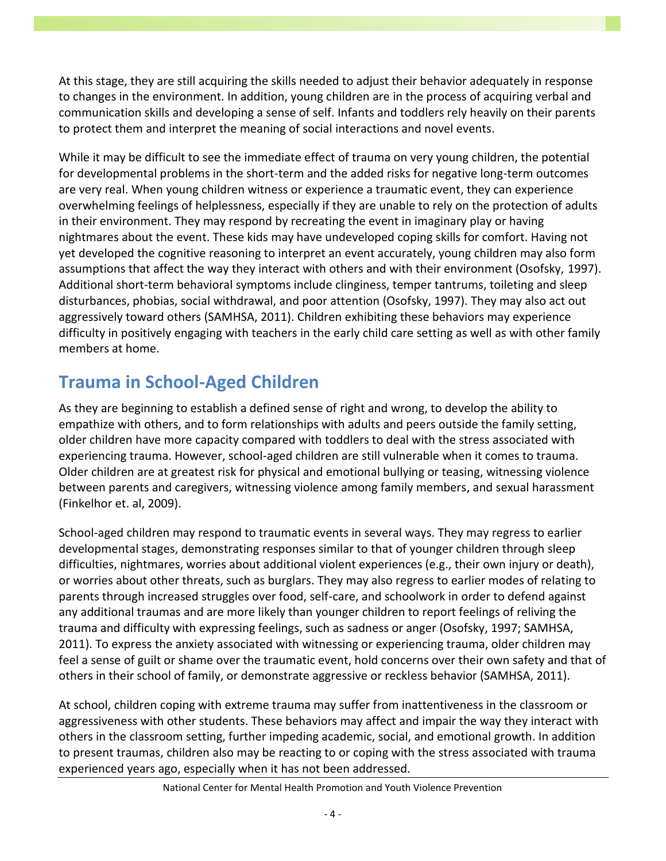At this stage, they are still acquiring the skills needed to adjust their behavior adequately in response to changes in the environment. In addition, young children are in the process of acquiring verbal and communication skills and developing a sense of self. Infants and toddlers rely heavily on their parents to protect them and interpret the meaning of social interactions and novel events.

While it may be difficult to see the immediate effect of trauma on very young children, the potential for developmental problems in the short-term and the added risks for negative long-term outcomes are very real. When young children witness or experience a traumatic event, they can experience overwhelming feelings of helplessness, especially if they are unable to rely on the protection of adults in their environment. They may respond by recreating the event in imaginary play or having nightmares about the event. These kids may have undeveloped coping skills for comfort. Having not yet developed the cognitive reasoning to interpret an event accurately, young children may also form assumptions that affect the way they interact with others and with their environment (Osofsky, 1997). Additional short-term behavioral symptoms include clinginess, temper tantrums, toileting and sleep disturbances, phobias, social withdrawal, and poor attention (Osofsky, 1997). They may also act out aggressively toward others (SAMHSA, 2011). Children exhibiting these behaviors may experience difficulty in positively engaging with teachers in the early child care setting as well as with other family members at home.

### **Trauma in School-Aged Children**

As they are beginning to establish a defined sense of right and wrong, to develop the ability to empathize with others, and to form relationships with adults and peers outside the family setting, older children have more capacity compared with toddlers to deal with the stress associated with experiencing trauma. However, school-aged children are still vulnerable when it comes to trauma. Older children are at greatest risk for physical and emotional bullying or teasing, witnessing violence between parents and caregivers, witnessing violence among family members, and sexual harassment (Finkelhor et. al, 2009).

School-aged children may respond to traumatic events in several ways. They may regress to earlier developmental stages, demonstrating responses similar to that of younger children through sleep difficulties, nightmares, worries about additional violent experiences (e.g., their own injury or death), or worries about other threats, such as burglars. They may also regress to earlier modes of relating to parents through increased struggles over food, self-care, and schoolwork in order to defend against any additional traumas and are more likely than younger children to report feelings of reliving the trauma and difficulty with expressing feelings, such as sadness or anger (Osofsky, 1997; SAMHSA, 2011). To express the anxiety associated with witnessing or experiencing trauma, older children may feel a sense of guilt or shame over the traumatic event, hold concerns over their own safety and that of others in their school of family, or demonstrate aggressive or reckless behavior (SAMHSA, 2011).

At school, children coping with extreme trauma may suffer from inattentiveness in the classroom or aggressiveness with other students. These behaviors may affect and impair the way they interact with others in the classroom setting, further impeding academic, social, and emotional growth. In addition to present traumas, children also may be reacting to or coping with the stress associated with trauma experienced years ago, especially when it has not been addressed.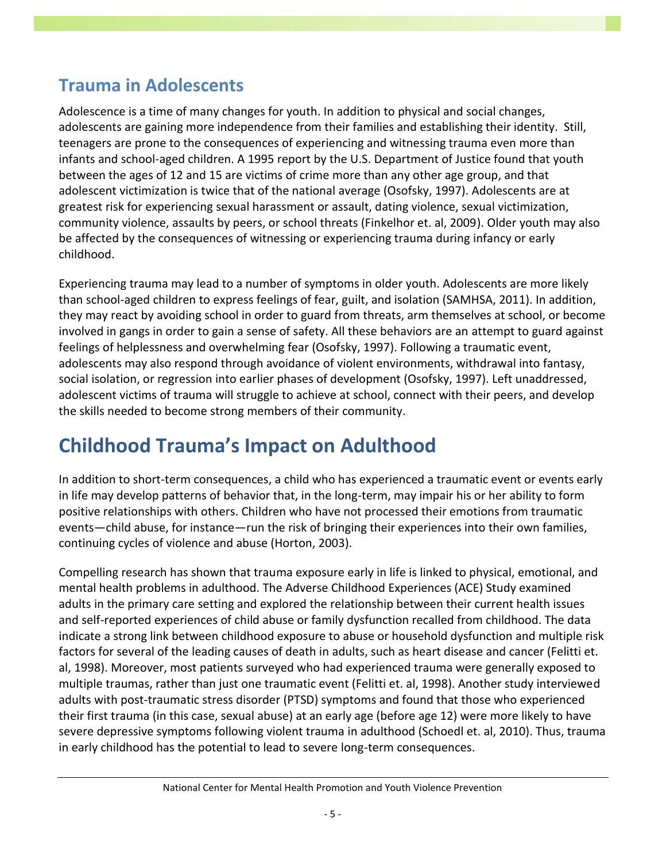#### **Trauma in Adolescents**

Adolescence is a time of many changes for youth. In addition to physical and social changes, adolescents are gaining more independence from their families and establishing their identity. Still, teenagers are prone to the consequences of experiencing and witnessing trauma even more than infants and school-aged children. A 1995 report by the U.S. Department of Justice found that youth between the ages of 12 and 15 are victims of crime more than any other age group, and that adolescent victimization is twice that of the national average (Osofsky, 1997). Adolescents are at greatest risk for experiencing sexual harassment or assault, dating violence, sexual victimization, community violence, assaults by peers, or school threats (Finkelhor et. al, 2009). Older youth may also be affected by the consequences of witnessing or experiencing trauma during infancy or early childhood.

Experiencing trauma may lead to a number of symptoms in older youth. Adolescents are more likely than school-aged children to express feelings of fear, guilt, and isolation (SAMHSA, 2011). In addition, they may react by avoiding school in order to guard from threats, arm themselves at school, or become involved in gangs in order to gain a sense of safety. All these behaviors are an attempt to guard against feelings of helplessness and overwhelming fear (Osofsky, 1997). Following a traumatic event, adolescents may also respond through avoidance of violent environments, withdrawal into fantasy, social isolation, or regression into earlier phases of development (Osofsky, 1997). Left unaddressed, adolescent victims of trauma will struggle to achieve at school, connect with their peers, and develop the skills needed to become strong members of their community.

### **Childhood Trauma's Impact on Adulthood**

In addition to short-term consequences, a child who has experienced a traumatic event or events early in life may develop patterns of behavior that, in the long-term, may impair his or her ability to form positive relationships with others. Children who have not processed their emotions from traumatic events—child abuse, for instance—run the risk of bringing their experiences into their own families, continuing cycles of violence and abuse (Horton, 2003).

Compelling research has shown that trauma exposure early in life is linked to physical, emotional, and mental health problems in adulthood. The Adverse Childhood Experiences (ACE) Study examined adults in the primary care setting and explored the relationship between their current health issues and self-reported experiences of child abuse or family dysfunction recalled from childhood. The data indicate a strong link between childhood exposure to abuse or household dysfunction and multiple risk factors for several of the leading causes of death in adults, such as heart disease and cancer (Felitti et. al, 1998). Moreover, most patients surveyed who had experienced trauma were generally exposed to multiple traumas, rather than just one traumatic event (Felitti et. al, 1998). Another study interviewed adults with post-traumatic stress disorder (PTSD) symptoms and found that those who experienced their first trauma (in this case, sexual abuse) at an early age (before age 12) were more likely to have severe depressive symptoms following violent trauma in adulthood (Schoedl et. al, 2010). Thus, trauma in early childhood has the potential to lead to severe long-term consequences.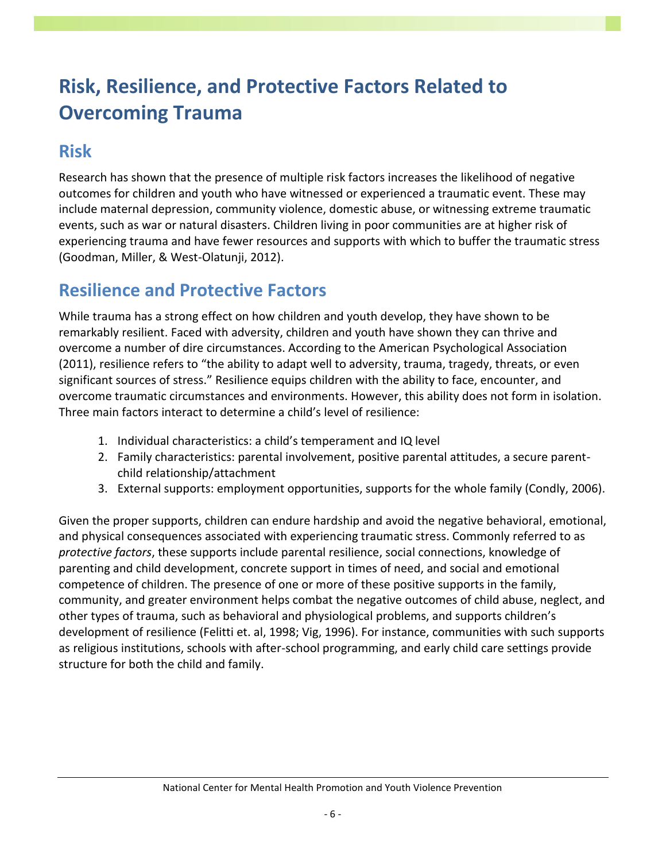## **Risk, Resilience, and Protective Factors Related to Overcoming Trauma**

#### **Risk**

Research has shown that the presence of multiple risk factors increases the likelihood of negative outcomes for children and youth who have witnessed or experienced a traumatic event. These may include maternal depression, community violence, domestic abuse, or witnessing extreme traumatic events, such as war or natural disasters. Children living in poor communities are at higher risk of experiencing trauma and have fewer resources and supports with which to buffer the traumatic stress (Goodman, Miller, & West-Olatunji, 2012).

#### **Resilience and Protective Factors**

While trauma has a strong effect on how children and youth develop, they have shown to be remarkably resilient. Faced with adversity, children and youth have shown they can thrive and overcome a number of dire circumstances. According to the American Psychological Association (2011), resilience refers to "the ability to adapt well to adversity, trauma, tragedy, threats, or even significant sources of stress." Resilience equips children with the ability to face, encounter, and overcome traumatic circumstances and environments. However, this ability does not form in isolation. Three main factors interact to determine a child's level of resilience:

- 1. Individual characteristics: a child's temperament and IQ level
- 2. Family characteristics: parental involvement, positive parental attitudes, a secure parentchild relationship/attachment
- 3. External supports: employment opportunities, supports for the whole family (Condly, 2006).

Given the proper supports, children can endure hardship and avoid the negative behavioral, emotional, and physical consequences associated with experiencing traumatic stress. Commonly referred to as *protective factors*, these supports include parental resilience, social connections, knowledge of parenting and child development, concrete support in times of need, and social and emotional competence of children. The presence of one or more of these positive supports in the family, community, and greater environment helps combat the negative outcomes of child abuse, neglect, and other types of trauma, such as behavioral and physiological problems, and supports children's development of resilience (Felitti et. al, 1998; Vig, 1996). For instance, communities with such supports as religious institutions, schools with after-school programming, and early child care settings provide structure for both the child and family.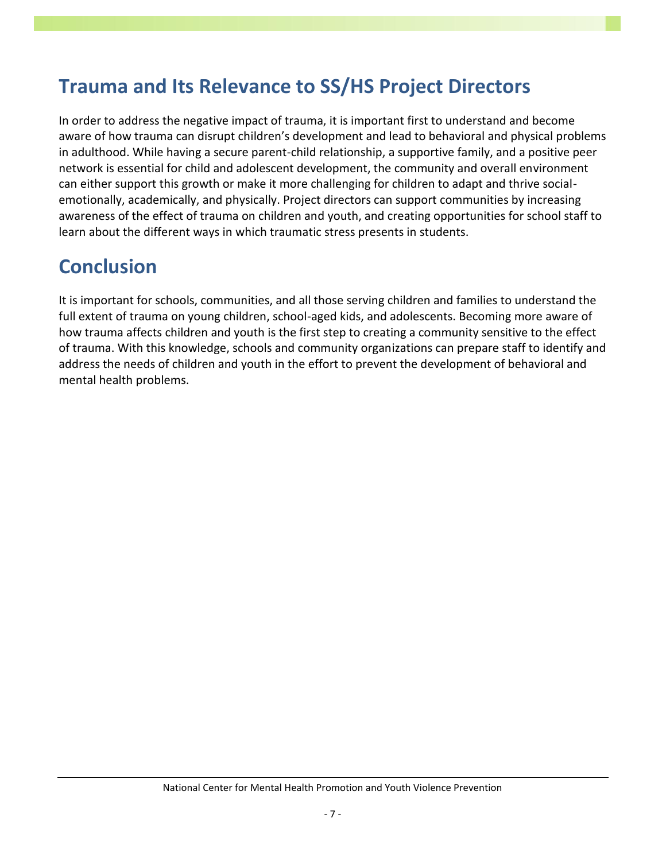### **Trauma and Its Relevance to SS/HS Project Directors**

In order to address the negative impact of trauma, it is important first to understand and become aware of how trauma can disrupt children's development and lead to behavioral and physical problems in adulthood. While having a secure parent-child relationship, a supportive family, and a positive peer network is essential for child and adolescent development, the community and overall environment can either support this growth or make it more challenging for children to adapt and thrive socialemotionally, academically, and physically. Project directors can support communities by increasing awareness of the effect of trauma on children and youth, and creating opportunities for school staff to learn about the different ways in which traumatic stress presents in students.

### **Conclusion**

It is important for schools, communities, and all those serving children and families to understand the full extent of trauma on young children, school-aged kids, and adolescents. Becoming more aware of how trauma affects children and youth is the first step to creating a community sensitive to the effect of trauma. With this knowledge, schools and community organizations can prepare staff to identify and address the needs of children and youth in the effort to prevent the development of behavioral and mental health problems.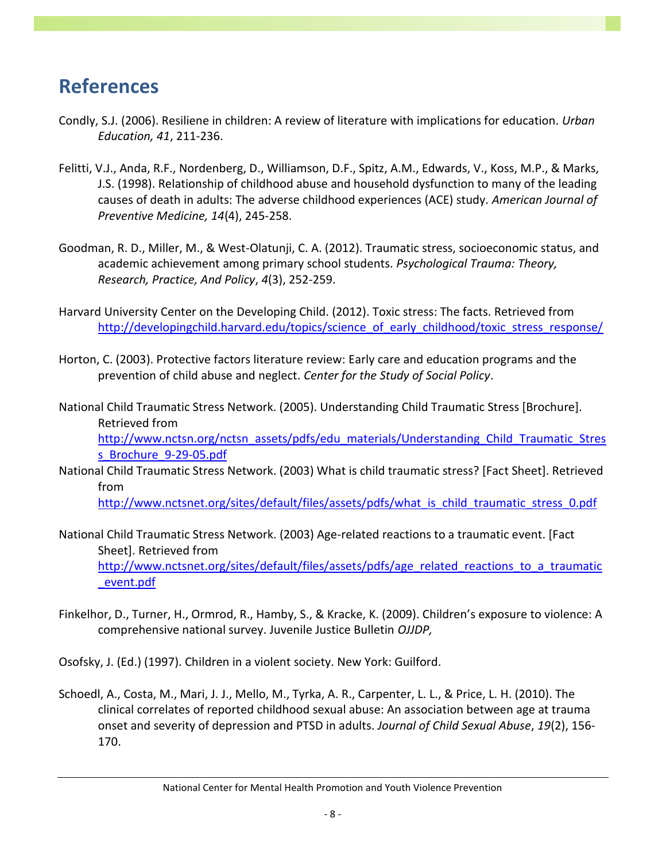### **References**

- Condly, S.J. (2006). Resiliene in children: A review of literature with implications for education. *Urban Education, 41*, 211-236.
- Felitti, V.J., Anda, R.F., Nordenberg, D., Williamson, D.F., Spitz, A.M., Edwards, V., Koss, M.P., & Marks, J.S. (1998). Relationship of childhood abuse and household dysfunction to many of the leading causes of death in adults: The adverse childhood experiences (ACE) study. *American Journal of Preventive Medicine, 14*(4), 245-258.
- Goodman, R. D., Miller, M., & West-Olatunji, C. A. (2012). Traumatic stress, socioeconomic status, and academic achievement among primary school students. *Psychological Trauma: Theory, Research, Practice, And Policy*, *4*(3), 252-259.
- Harvard University Center on the Developing Child. (2012). Toxic stress: The facts. Retrieved from [http://developingchild.harvard.edu/topics/science\\_of\\_early\\_childhood/toxic\\_stress\\_response/](http://developingchild.harvard.edu/topics/science_of_early_childhood/toxic_stress_response/)
- Horton, C. (2003). Protective factors literature review: Early care and education programs and the prevention of child abuse and neglect. *Center for the Study of Social Policy*.
- National Child Traumatic Stress Network. (2005). Understanding Child Traumatic Stress [Brochure]. Retrieved from [http://www.nctsn.org/nctsn\\_assets/pdfs/edu\\_materials/Understanding\\_Child\\_Traumatic\\_Stres](http://www.nctsn.org/nctsn_assets/pdfs/edu_materials/Understanding_Child_Traumatic_Stress_Brochure_9-29-05.pdf) [s\\_Brochure\\_9-29-05.pdf](http://www.nctsn.org/nctsn_assets/pdfs/edu_materials/Understanding_Child_Traumatic_Stress_Brochure_9-29-05.pdf)
- National Child Traumatic Stress Network. (2003) What is child traumatic stress? [Fact Sheet]. Retrieved from

[http://www.nctsnet.org/sites/default/files/assets/pdfs/what\\_is\\_child\\_traumatic\\_stress\\_0.pdf](http://www.nctsnet.org/sites/default/files/assets/pdfs/what_is_child_traumatic_stress_0.pdf)

- National Child Traumatic Stress Network. (2003) Age-related reactions to a traumatic event. [Fact Sheet]. Retrieved from [http://www.nctsnet.org/sites/default/files/assets/pdfs/age\\_related\\_reactions\\_to\\_a\\_traumatic](http://www.nctsnet.org/sites/default/files/assets/pdfs/age_related_reactions_to_a_traumatic_event.pdf) [\\_event.pdf](http://www.nctsnet.org/sites/default/files/assets/pdfs/age_related_reactions_to_a_traumatic_event.pdf)
- Finkelhor, D., Turner, H., Ormrod, R., Hamby, S., & Kracke, K. (2009). Children's exposure to violence: A comprehensive national survey. Juvenile Justice Bulletin *OJJDP,*
- Osofsky, J. (Ed.) (1997). Children in a violent society. New York: Guilford.
- Schoedl, A., Costa, M., Mari, J. J., Mello, M., Tyrka, A. R., Carpenter, L. L., & Price, L. H. (2010). The clinical correlates of reported childhood sexual abuse: An association between age at trauma onset and severity of depression and PTSD in adults. *Journal of Child Sexual Abuse*, *19*(2), 156- 170.